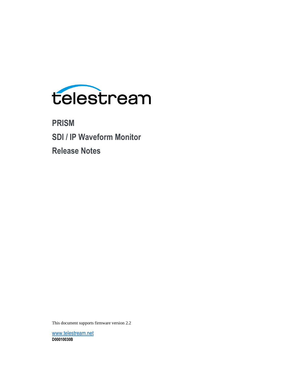

**PRISM SDI / IP Waveform Monitor Release Notes**

This document supports firmware version 2.2

[www.telestream.net](http://www.telestream.net/) **D00010030B**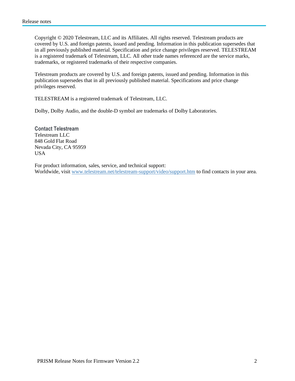Copyright © 2020 Telestream, LLC and its Affiliates. All rights reserved. Telestream products are covered by U.S. and foreign patents, issued and pending. Information in this publication supersedes that in all previously published material. Specification and price change privileges reserved. TELESTREAM is a registered trademark of Telestream, LLC. All other trade names referenced are the service marks, trademarks, or registered trademarks of their respective companies.

Telestream products are covered by U.S. and foreign patents, issued and pending. Information in this publication supersedes that in all previously published material. Specifications and price change privileges reserved.

TELESTREAM is a registered trademark of Telestream, LLC.

Dolby, Dolby Audio, and the double-D symbol are trademarks of Dolby Laboratories.

**Contact Telestream** Telestream LLC 848 Gold Flat Road Nevada City, CA 95959 USA

For product information, sales, service, and technical support: Worldwide, visi[t www.telestream.net/telestream-support/video/support.htm](http://www.telestream.net/telestream-support/video/support.htm) to find contacts in your area.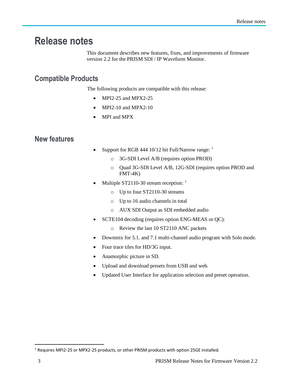## **Release notes**

This document describes new features, fixes, and improvements of firmware version 2.2 for the PRISM SDI / IP Waveform Monitor.

## **Compatible Products**

The following products are compatible with this release:

- MPI2-25 and MPX2-25
- MPI2-10 and MPX2-10
- MPI and MPX

## **New features**

- Support for RGB 444 10/12 bit Full/Narrow range:  $<sup>1</sup>$ </sup>
	- o 3G-SDI Level A/B (requires option PROD)
	- o Quad 3G-SDI Level A/B, 12G-SDI (requires option PROD and FMT-4K)
- Multiple ST2110-30 stream reception:  $<sup>1</sup>$ </sup>
	- o Up to four ST2110-30 streams
	- o Up to 16 audio channels in total
	- o AUX SDI Output as SDI embedded audio
- SCTE104 decoding (requires option ENG-MEAS or QC):
	- o Review the last 10 ST2110 ANC packets
- Downmix for 5.1. and 7.1 multi-channel audio program with Solo mode.
- Four trace tiles for HD/3G input.
- Anamorphic picture in SD.
- Upload and download presets from USB and web.
- Updated User Interface for application selection and preset operation.

<sup>1</sup> Requires MPI2-25 or MPX2-25 products, or other PRISM products with option 25GE installed.